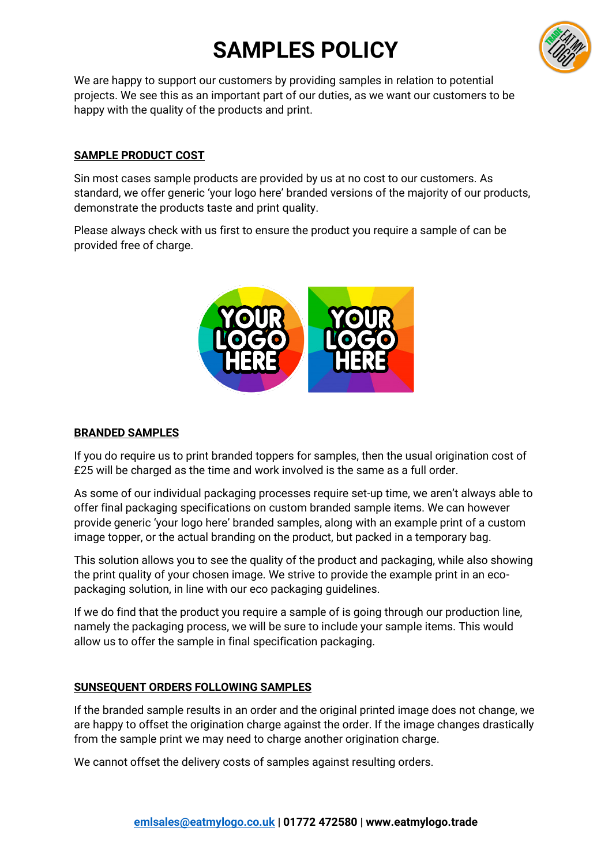# **SAMPLES POLICY**



We are happy to support our customers by providing samples in relation to potential projects. We see this as an important part of our duties, as we want our customers to be happy with the quality of the products and print.

## **SAMPLE PRODUCT COST**

Sin most cases sample products are provided by us at no cost to our customers. As standard, we offer generic 'your logo here' branded versions of the majority of our products, demonstrate the products taste and print quality.

Please always check with us first to ensure the product you require a sample of can be provided free of charge.



## **BRANDED SAMPLES**

If you do require us to print branded toppers for samples, then the usual origination cost of £25 will be charged as the time and work involved is the same as a full order.

As some of our individual packaging processes require set-up time, we aren't always able to offer final packaging specifications on custom branded sample items. We can however provide generic 'your logo here' branded samples, along with an example print of a custom image topper, or the actual branding on the product, but packed in a temporary bag.

This solution allows you to see the quality of the product and packaging, while also showing the print quality of your chosen image. We strive to provide the example print in an ecopackaging solution, in line with our eco packaging guidelines.

If we do find that the product you require a sample of is going through our production line, namely the packaging process, we will be sure to include your sample items. This would allow us to offer the sample in final specification packaging.

#### **SUNSEQUENT ORDERS FOLLOWING SAMPLES**

If the branded sample results in an order and the original printed image does not change, we are happy to offset the origination charge against the order. If the image changes drastically from the sample print we may need to charge another origination charge.

We cannot offset the delivery costs of samples against resulting orders.